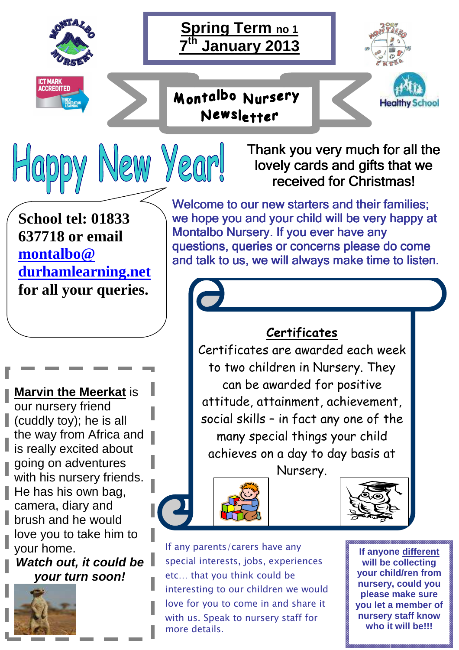





Montalbo Nursery Newsletter





**School tel: 01833 637718 or email montalbo@ durhamlearning.net for all your queries.** 

Happy New Year!

**Marvin the Meerkat** is our nursery friend  $\parallel$  (cuddly toy); he is all the way from Africa and is really excited about going on adventures with his nursery friends.  $\blacksquare$  He has his own bag, camera, diary and brush and he would love you to take him to your home.

**Watch out, it could be your turn soon!** 



Welcome to our new starters and their families; we hope you and your child will be very happy at Montalbo Nursery. If you ever have any questions, queries or concerns please do come and talk to us, we will always make time to listen.

Thank you very much for all the lovely cards and gifts that we received for Christmas!

## **Certificates**

Certificates are awarded each week to two children in Nursery. They can be awarded for positive attitude, attainment, achievement, social skills – in fact any one of the many special things your child achieves on a day to day basis at

Nursery.





If any parents/carers have any special interests, jobs, experiences etc… that you think could be interesting to our children we would love for you to come in and share it with us. Speak to nursery staff for more details.

**If anyone different will be collecting your child/ren from nursery, could you please make sure you let a member of nursery staff know who it will be!!!**